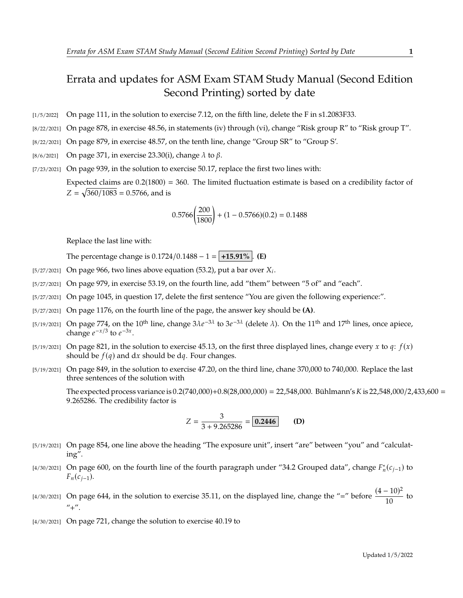## Errata and updates for ASM Exam STAM Study Manual (Second Edition Second Printing) sorted by date

- [1/5/2022] On page 111, in the solution to exercise 7.12, on the fifth line, delete the F in s1.2083F33.
- [8/22/2021] On page 878, in exercise 48.56, in statements (iv) through (vi), change "Risk group R" to "Risk group T".
- [8/22/2021] On page 879, in exercise 48.57, on the tenth line, change "Group SR" to "Group S'.
- [8/6/2021] On page 371, in exercise 23.30(i), change  $\lambda$  to  $\beta$ .
- [7/23/2021] On page 939, in the solution to exercise 50.17, replace the first two lines with: Expected claims are  $0.2(1800) = 360$ . The limited fluctuation estimate is based on a credibility factor of  $Z = \sqrt{360/1083} = 0.5766$ , and is

$$
0.5766 \left(\frac{200}{1800}\right) + (1 - 0.5766)(0.2) = 0.1488
$$

Replace the last line with:

The percentage change is  $0.1724/0.1488 - 1 = |+15.91\%|$ . **(E)** 

- [5/27/2021] On page 966, two lines above equation (53.2), put a bar over  $X_i$ .
- [5/27/2021] On page 979, in exercise 53.19, on the fourth line, add "them" between "5 of" and "each".
- [5/27/2021] On page 1045, in question 17, delete the first sentence "You are given the following experience:".
- [5/27/2021] On page 1176, on the fourth line of the page, the answer key should be **(A)**.
- [5/19/2021] On page 774, on the 10<sup>th</sup> line, change  $3\lambda e^{-3\lambda}$  to  $3e^{-3\lambda}$  (delete  $\lambda$ ). On the 11<sup>th</sup> and 17<sup>th</sup> lines, once apiece, change  $e^{-x/3}$  to  $e^{-3x}$ change  $e^{-x/3}$  to  $e^{-3x}$ .
- [5/19/2021] On page 821, in the solution to exercise 45.13, on the first three displayed lines, change every x to q:  $f(x)$ should be  $f(q)$  and dx should be dq. Four changes.
- [5/19/2021] On page 849, in the solution to exercise 47.20, on the third line, chane 370,000 to 740,000. Replace the last three sentences of the solution with

The expected process variance is  $0.2(740,000)+0.8(28,000,000) = 22,548,000$ . Bühlmann's K is  $22,548,000/2,433,600 =$ <sup>9</sup>.265286. The credibility factor is

$$
Z = \frac{3}{3 + 9.265286} = \boxed{0.2446}
$$
 (D)

- [5/19/2021] On page 854, one line above the heading "The exposure unit", insert "are" between "you" and "calculating".
- [4/30/2021] On page 600, on the fourth line of the fourth paragraph under "34.2 Grouped data", change  $F_n^*(c_{j-1})$  to  $F_n(c_{j-1}).$
- [4/30/2021] On page 644, in the solution to exercise 35.11, on the displayed line, change the "=" before  $\frac{(4-10)^2}{10}$  $\frac{10}{10}$  to  $^{\prime\prime}$ +".
- [4/30/2021] On page 721, change the solution to exercise 40.19 to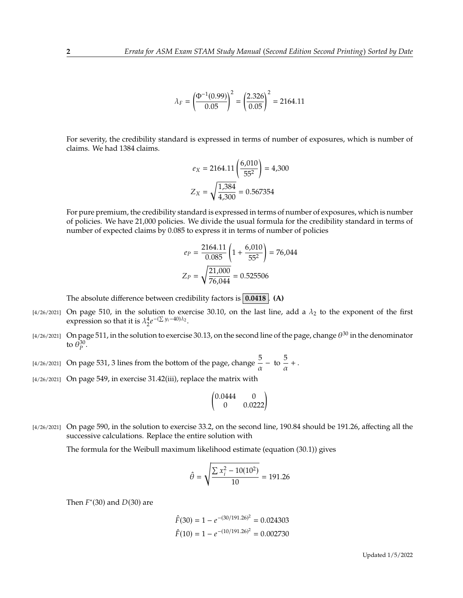$$
\lambda_F = \left(\frac{\Phi^{-1}(0.99)}{0.05}\right)^2 = \left(\frac{2.326}{0.05}\right)^2 = 2164.11
$$

For severity, the credibility standard is expressed in terms of number of exposures, which is number of claims. We had 1384 claims.

$$
e_X = 2164.11 \left( \frac{6,010}{55^2} \right) = 4,300
$$

$$
Z_X = \sqrt{\frac{1,384}{4,300}} = 0.567354
$$

For pure premium, the credibility standard is expressed in terms of number of exposures, which is number of policies. We have 21,000 policies. We divide the usual formula for the credibility standard in terms of number of expected claims by 0.085 to express it in terms of number of policies

$$
e_P = \frac{2164.11}{0.085} \left( 1 + \frac{6,010}{55^2} \right) = 76,044
$$

$$
Z_P = \sqrt{\frac{21,000}{76,044}} = 0.525506
$$

The absolute difference between credibility factors is **0.0418** . **(A)**

- [4/26/2021] On page 510, in the solution to exercise 30.10, on the last line, add a  $\lambda_2$  to the exponent of the first expression so that it is  $\lambda_2^4 e$  $-(\sum y_i - 40)\lambda_2$ .
- [4/26/2021] On page 511, in the solution to exercise 30.13, on the second line of the page, change  $\theta^{30}$  in the denominator to  $\bar{\theta}_p^{30}$ .

[4/26/2021] On page 531, 3 lines from the bottom of the page, change  $\frac{5}{\alpha}$  - to  $\frac{5}{\alpha}$  $\frac{\partial}{\partial x} +$ .

[4/26/2021] On page 549, in exercise 31.42(iii), replace the matrix with

$$
\begin{pmatrix} 0.0444 & 0 \\ 0 & 0.0222 \end{pmatrix}
$$

[4/26/2021] On page 590, in the solution to exercise 33.2, on the second line, 190.84 should be 191.26, affecting all the successive calculations. Replace the entire solution with

The formula for the Weibull maximum likelihood estimate (equation (30.1)) gives

$$
\hat{\theta} = \sqrt{\frac{\sum x_i^2 - 10(10^2)}{10}} = 191.26
$$

Then  $F^*(30)$  and  $D(30)$  are

$$
\hat{F}(30) = 1 - e^{-(30/191.26)^2} = 0.024303
$$

$$
\hat{F}(10) = 1 - e^{-(10/191.26)^2} = 0.002730
$$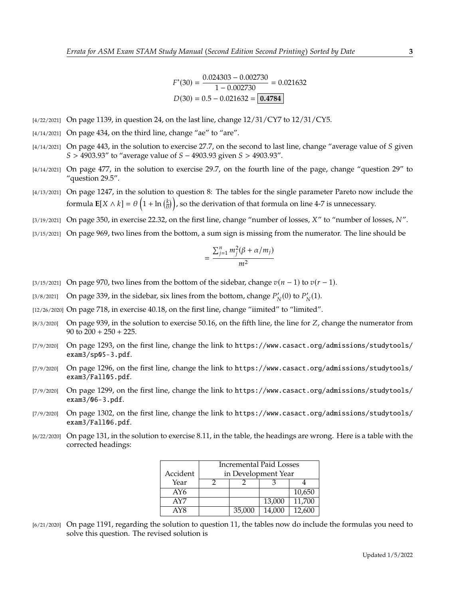$*(30) = \frac{0.024303 - 0.002730}{1 - 0.002730}$  $\frac{1,000}{1 - 0.002730} = 0.021632$  $D(30) = 0.5 - 0.021632 = \boxed{0.4784}$ 

- $\frac{1}{4}$ /22/2021] On page 1139, in question 24, on the last line, change  $\frac{12}{31}$ /CY7 to  $\frac{12}{31}$ /CY5.
- $[4/14/2021]$  On page 434, on the third line, change "ae" to "are".
- $[4/14/2021]$  On page 443, in the solution to exercise 27.7, on the second to last line, change "average value of S given  $S > 4903.93''$  to "average value of  $S - 4903.93$  given  $S > 4903.93''$ .
- [4/14/2021] On page 477, in the solution to exercise 29.7, on the fourth line of the page, change "question 29" to "question 29.5".
- [4/13/2021] On page 1247, in the solution to question 8: The tables for the single parameter Pareto now include the formula  $\mathbf{E}[X \wedge k] = \theta\left(1 + \ln\left(\frac{k}{\theta}\right)\right)$ , so the derivation of that formula on line 4-7 is unnecessary.
- [3/19/2021] On page 350, in exercise 22.32, on the first line, change "number of losses,  $X''$  to "number of losses,  $N''$ .
- [3/15/2021] On page 969, two lines from the bottom, a sum sign is missing from the numerator. The line should be

$$
=\frac{\sum_{j=1}^{n}m_j^2(\beta+\alpha/m_j)}{m^2}
$$

- [3/15/2021] On page 970, two lines from the bottom of the sidebar, change  $v(n 1)$  to  $v(r 1)$ .
- [3/8/2021] On page 339, in the sidebar, six lines from the bottom, change  $P'_N(0)$  to  $P'_N(1)$ .
- [12/26/2020] On page 718, in exercise 40.18, on the first line, change "iimited" to "limited".
- $[8/3/2020]$  On page 939, in the solution to exercise 50.16, on the fifth line, the line for Z, change the numerator from 90 to  $200 + 250 + 225$ .
- [7/9/2020] On page 1293, on the first line, change the link to https://www.casact.org/admissions/studytools/ exam3/sp05-3.pdf.
- [7/9/2020] On page 1296, on the first line, change the link to https://www.casact.org/admissions/studytools/ exam3/Fall05.pdf.
- [7/9/2020] On page 1299, on the first line, change the link to https://www.casact.org/admissions/studytools/ exam3/06-3.pdf.
- [7/9/2020] On page 1302, on the first line, change the link to https://www.casact.org/admissions/studytools/ exam3/Fall06.pdf.
- [6/22/2020] On page 131, in the solution to exercise 8.11, in the table, the headings are wrong. Here is a table with the corrected headings:

|          | <b>Incremental Paid Losses</b> |        |        |        |
|----------|--------------------------------|--------|--------|--------|
| Accident | in Development Year            |        |        |        |
| Year     |                                |        |        |        |
| AY6      |                                |        |        | 10,650 |
| AY7      |                                |        | 13,000 | 11,700 |
| AY8      |                                | 35,000 | 14,000 | 12,600 |

[6/21/2020] On page 1191, regarding the solution to question 11, the tables now do include the formulas you need to solve this question. The revised solution is